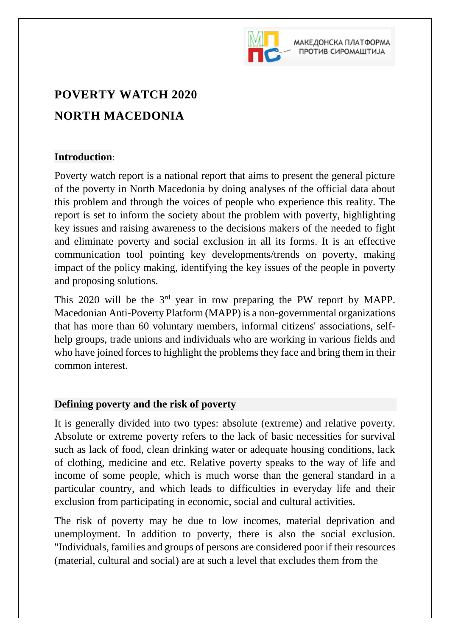

МАКЕДОНСКА ПЛАТФОРМА ПРОТИВ СИРОМАШТИЈА

# **POVERTY WATCH 2020 NORTH MACEDONIA**

## **Introduction**:

Poverty watch report is a national report that aims to present the general picture of the poverty in North Macedonia by doing analyses of the official data about this problem and through the voices of people who experience this reality. The report is set to inform the society about the problem with poverty, highlighting key issues and raising awareness to the decisions makers of the needed to fight and eliminate poverty and social exclusion in all its forms. It is an effective communication tool pointing key developments/trends on poverty, making impact of the policy making, identifying the key issues of the people in poverty and proposing solutions.

This  $2020$  will be the  $3<sup>rd</sup>$  year in row preparing the PW report by MAPP. Macedonian Anti-Poverty Platform (MAPP) is a non-governmental organizations that has more than 60 voluntary members, informal citizens' associations, selfhelp groups, trade unions and individuals who are working in various fields and who have joined forces to highlight the problems they face and bring them in their common interest.

# **Defining poverty and the risk of poverty**

It is generally divided into two types: absolute (extreme) and relative poverty. Absolute or extreme poverty refers to the lack of basic necessities for survival such as lack of food, clean drinking water or adequate housing conditions, lack of clothing, medicine and etc. Relative poverty speaks to the way of life and income of some people, which is much worse than the general standard in a particular country, and which leads to difficulties in everyday life and their exclusion from participating in economic, social and cultural activities.

The risk of poverty may be due to low incomes, material deprivation and unemployment. In addition to poverty, there is also the social exclusion. "Individuals, families and groups of persons are considered poor if their resources (material, cultural and social) are at such a level that excludes them from the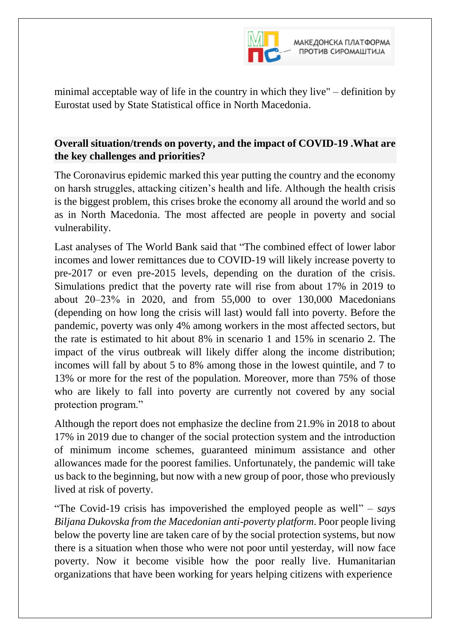

minimal acceptable way of life in the country in which they live" – definition by Eurostat used by State Statistical office in North Macedonia.

## **Overall situation/trends on poverty, and the impact of COVID-19 .What are the key challenges and priorities?**

The Coronavirus epidemic marked this year putting the country and the economy on harsh struggles, attacking citizen's health and life. Although the health crisis is the biggest problem, this crises broke the economy all around the world and so as in North Macedonia. The most affected are people in poverty and social vulnerability.

Last analyses of The World Bank said that "The combined effect of lower labor incomes and lower remittances due to COVID-19 will likely increase poverty to pre-2017 or even pre-2015 levels, depending on the duration of the crisis. Simulations predict that the poverty rate will rise from about 17% in 2019 to about 20‒23% in 2020, and from 55,000 to over 130,000 Macedonians (depending on how long the crisis will last) would fall into poverty. Before the pandemic, poverty was only 4% among workers in the most affected sectors, but the rate is estimated to hit about 8% in scenario 1 and 15% in scenario 2. The impact of the virus outbreak will likely differ along the income distribution; incomes will fall by about 5 to 8% among those in the lowest quintile, and 7 to 13% or more for the rest of the population. Moreover, more than 75% of those who are likely to fall into poverty are currently not covered by any social protection program."

Although the report does not emphasize the decline from 21.9% in 2018 to about 17% in 2019 due to changer of the social protection system and the introduction of minimum income schemes, guaranteed minimum assistance and other allowances made for the poorest families. Unfortunately, the pandemic will take us back to the beginning, but now with a new group of poor, those who previously lived at risk of poverty.

"The Covid-19 crisis has impoverished the employed people as well" – *says Biljana Dukovska from the Macedonian anti-poverty platform*. Poor people living below the poverty line are taken care of by the social protection systems, but now there is a situation when those who were not poor until yesterday, will now face poverty. Now it become visible how the poor really live. Humanitarian organizations that have been working for years helping citizens with experience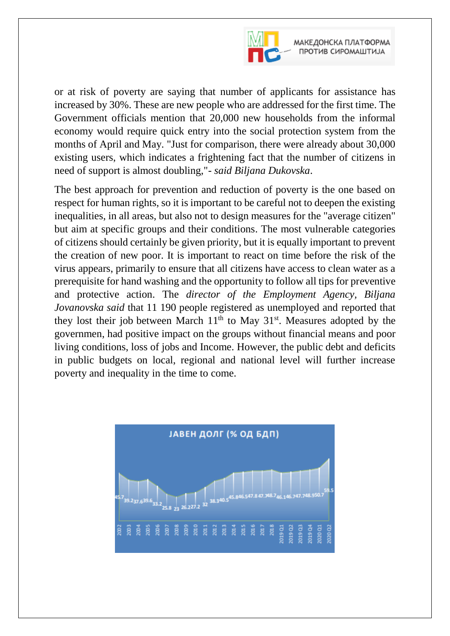

or at risk of poverty are saying that number of applicants for assistance has increased by 30%. These are new people who are addressed for the first time. The Government officials mention that 20,000 new households from the informal economy would require quick entry into the social protection system from the months of April and May. "Just for comparison, there were already about 30,000 existing users, which indicates a frightening fact that the number of citizens in need of support is almost doubling,"- *said Biljana Dukovska*.

The best approach for prevention and reduction of poverty is the one based on respect for human rights, so it is important to be careful not to deepen the existing inequalities, in all areas, but also not to design measures for the "average citizen" but aim at specific groups and their conditions. The most vulnerable categories of citizens should certainly be given priority, but it is equally important to prevent the creation of new poor. It is important to react on time before the risk of the virus appears, primarily to ensure that all citizens have access to clean water as a prerequisite for hand washing and the opportunity to follow all tips for preventive and protective action. The *director of the Employment Agency, Biljana Jovanovska said* that 11 190 people registered as unemployed and reported that they lost their job between March  $11<sup>th</sup>$  to May  $31<sup>st</sup>$ . Measures adopted by the governmen, had positive impact on the groups without financial means and poor living conditions, loss of jobs and Income. However, the public debt and deficits in public budgets on local, regional and national level will further increase poverty and inequality in the time to come.

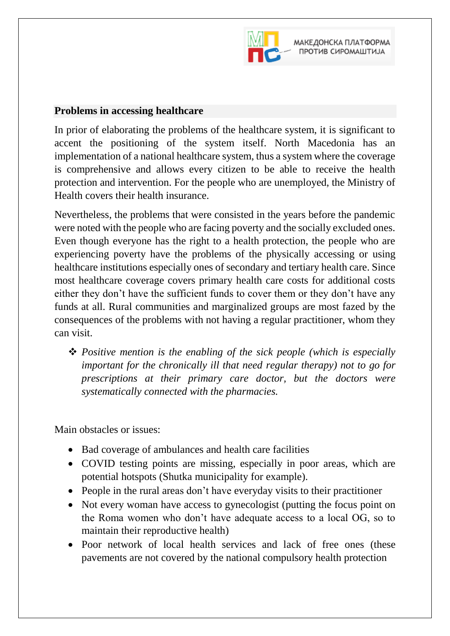

#### **Problems in accessing healthcare**

In prior of elaborating the problems of the healthcare system, it is significant to accent the positioning of the system itself. North Macedonia has an implementation of a national healthcare system, thus a system where the coverage is comprehensive and allows every citizen to be able to receive the health protection and intervention. For the people who are unemployed, the Ministry of Health covers their health insurance.

Nevertheless, the problems that were consisted in the years before the pandemic were noted with the people who are facing poverty and the socially excluded ones. Even though everyone has the right to a health protection, the people who are experiencing poverty have the problems of the physically accessing or using healthcare institutions especially ones of secondary and tertiary health care. Since most healthcare coverage covers primary health care costs for additional costs either they don't have the sufficient funds to cover them or they don't have any funds at all. Rural communities and marginalized groups are most fazed by the consequences of the problems with not having a regular practitioner, whom they can visit.

 *Positive mention is the enabling of the sick people (which is especially important for the chronically ill that need regular therapy) not to go for prescriptions at their primary care doctor, but the doctors were systematically connected with the pharmacies.*

Main obstacles or issues:

- Bad coverage of ambulances and health care facilities
- COVID testing points are missing, especially in poor areas, which are potential hotspots (Shutka municipality for example).
- People in the rural areas don't have everyday visits to their practitioner
- Not every woman have access to gynecologist (putting the focus point on the Roma women who don't have adequate access to a local OG, so to maintain their reproductive health)
- Poor network of local health services and lack of free ones (these pavements are not covered by the national compulsory health protection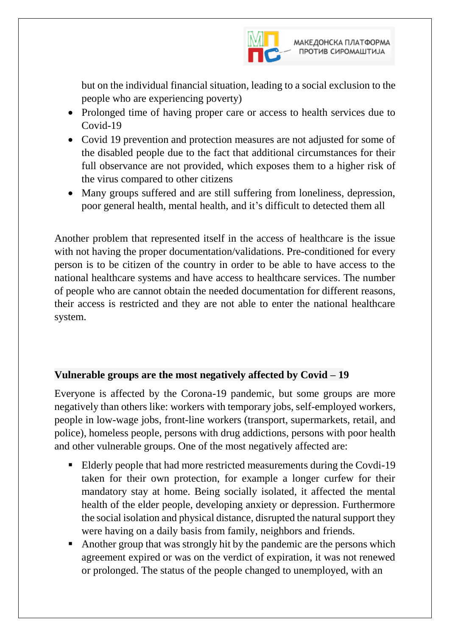

but on the individual financial situation, leading to a social exclusion to the people who are experiencing poverty)

- Prolonged time of having proper care or access to health services due to Covid-19
- Covid 19 prevention and protection measures are not adjusted for some of the disabled people due to the fact that additional circumstances for their full observance are not provided, which exposes them to a higher risk of the virus compared to other citizens
- Many groups suffered and are still suffering from loneliness, depression, poor general health, mental health, and it's difficult to detected them all

Another problem that represented itself in the access of healthcare is the issue with not having the proper documentation/validations. Pre-conditioned for every person is to be citizen of the country in order to be able to have access to the national healthcare systems and have access to healthcare services. The number of people who are cannot obtain the needed documentation for different reasons, their access is restricted and they are not able to enter the national healthcare system.

## **Vulnerable groups are the most negatively affected by Covid – 19**

Everyone is affected by the Corona-19 pandemic, but some groups are more negatively than others like: workers with temporary jobs, self-employed workers, people in low-wage jobs, front-line workers (transport, supermarkets, retail, and police), homeless people, persons with drug addictions, persons with poor health and other vulnerable groups. One of the most negatively affected are:

- Elderly people that had more restricted measurements during the Covdi-19 taken for their own protection, for example a longer curfew for their mandatory stay at home. Being socially isolated, it affected the mental health of the elder people, developing anxiety or depression. Furthermore the social isolation and physical distance, disrupted the natural support they were having on a daily basis from family, neighbors and friends.
- Another group that was strongly hit by the pandemic are the persons which agreement expired or was on the verdict of expiration, it was not renewed or prolonged. The status of the people changed to unemployed, with an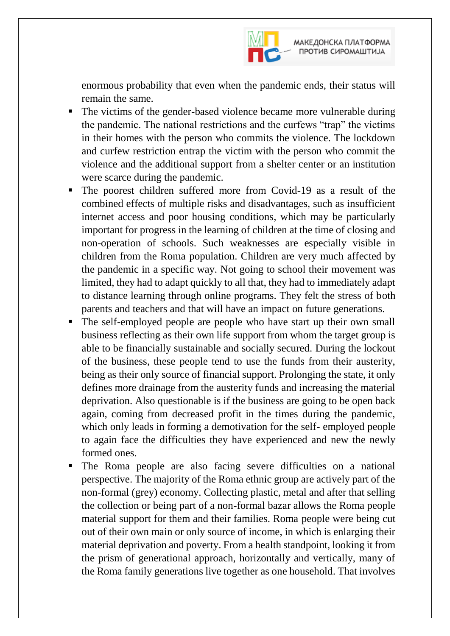

enormous probability that even when the pandemic ends, their status will remain the same.

- The victims of the gender-based violence became more vulnerable during the pandemic. The national restrictions and the curfews "trap" the victims in their homes with the person who commits the violence. The lockdown and curfew restriction entrap the victim with the person who commit the violence and the additional support from a shelter center or an institution were scarce during the pandemic.
- The poorest children suffered more from Covid-19 as a result of the combined effects of multiple risks and disadvantages, such as insufficient internet access and poor housing conditions, which may be particularly important for progress in the learning of children at the time of closing and non-operation of schools. Such weaknesses are especially visible in children from the Roma population. Children are very much affected by the pandemic in a specific way. Not going to school their movement was limited, they had to adapt quickly to all that, they had to immediately adapt to distance learning through online programs. They felt the stress of both parents and teachers and that will have an impact on future generations.
- The self-employed people are people who have start up their own small business reflecting as their own life support from whom the target group is able to be financially sustainable and socially secured. During the lockout of the business, these people tend to use the funds from their austerity, being as their only source of financial support. Prolonging the state, it only defines more drainage from the austerity funds and increasing the material deprivation. Also questionable is if the business are going to be open back again, coming from decreased profit in the times during the pandemic, which only leads in forming a demotivation for the self- employed people to again face the difficulties they have experienced and new the newly formed ones.
- The Roma people are also facing severe difficulties on a national perspective. The majority of the Roma ethnic group are actively part of the non-formal (grey) economy. Collecting plastic, metal and after that selling the collection or being part of a non-formal bazar allows the Roma people material support for them and their families. Roma people were being cut out of their own main or only source of income, in which is enlarging their material deprivation and poverty. From a health standpoint, looking it from the prism of generational approach, horizontally and vertically, many of the Roma family generations live together as one household. That involves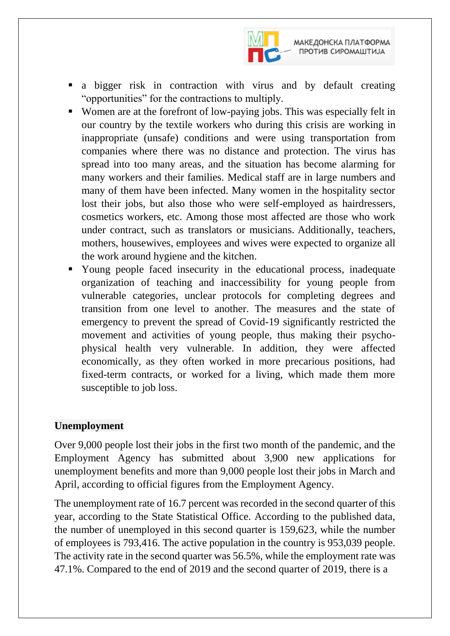

МАКЕДОНСКА ПЛАТФОРМА ПРОТИВ СИРОМАШТИЈА

- a bigger risk in contraction with virus and by default creating "opportunities" for the contractions to multiply.
- Women are at the forefront of low-paying jobs. This was especially felt in our country by the textile workers who during this crisis are working in inappropriate (unsafe) conditions and were using transportation from companies where there was no distance and protection. The virus has spread into too many areas, and the situation has become alarming for many workers and their families. Medical staff are in large numbers and many of them have been infected. Many women in the hospitality sector lost their jobs, but also those who were self-employed as hairdressers, cosmetics workers, etc. Among those most affected are those who work under contract, such as translators or musicians. Additionally, teachers, mothers, housewives, employees and wives were expected to organize all the work around hygiene and the kitchen.
- Young people faced insecurity in the educational process, inadequate organization of teaching and inaccessibility for young people from vulnerable categories, unclear protocols for completing degrees and transition from one level to another. The measures and the state of emergency to prevent the spread of Covid-19 significantly restricted the movement and activities of young people, thus making their psychophysical health very vulnerable. In addition, they were affected economically, as they often worked in more precarious positions, had fixed-term contracts, or worked for a living, which made them more susceptible to job loss.

## **Unemployment**

Over 9,000 people lost their jobs in the first two month of the pandemic, and the Employment Agency has submitted about 3,900 new applications for unemployment benefits and more than 9,000 people lost their jobs in March and April, according to official figures from the Employment Agency.

The unemployment rate of 16.7 percent was recorded in the second quarter of this year, according to the State Statistical Office. According to the published data, the number of unemployed in this second quarter is 159,623, while the number of employees is 793,416. The active population in the country is 953,039 people. The activity rate in the second quarter was 56.5%, while the employment rate was 47.1%. Compared to the end of 2019 and the second quarter of 2019, there is a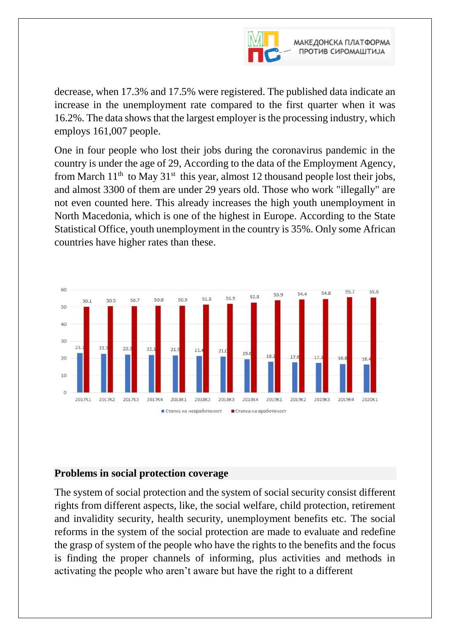

decrease, when 17.3% and 17.5% were registered. The published data indicate an increase in the unemployment rate compared to the first quarter when it was 16.2%. The data shows that the largest employer is the processing industry, which employs 161,007 people.

One in four people who lost their jobs during the coronavirus pandemic in the country is under the age of 29, According to the data of the Employment Agency, from March  $11<sup>th</sup>$  to May  $31<sup>st</sup>$  this year, almost 12 thousand people lost their jobs, and almost 3300 of them are under 29 years old. Those who work "illegally" are not even counted here. This already increases the high youth unemployment in North Macedonia, which is one of the highest in Europe. According to the State Statistical Office, youth unemployment in the country is 35%. Only some African countries have higher rates than these.



#### **Problems in social protection coverage**

The system of social protection and the system of social security consist different rights from different aspects, like, the social welfare, child protection, retirement and invalidity security, health security, unemployment benefits etc. The social reforms in the system of the social protection are made to evaluate and redefine the grasp of system of the people who have the rights to the benefits and the focus is finding the proper channels of informing, plus activities and methods in activating the people who aren't aware but have the right to a different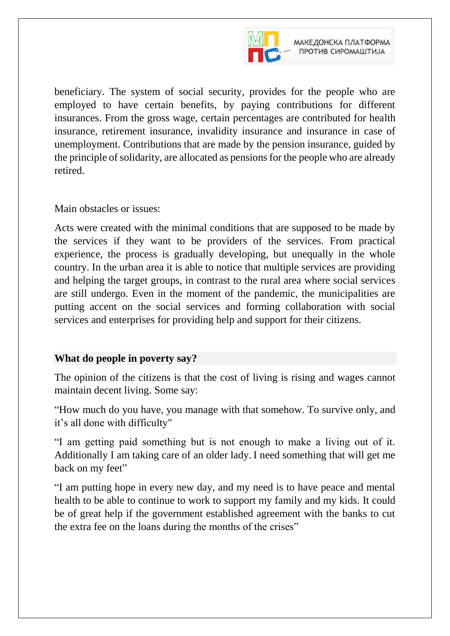

beneficiary. The system of social security, provides for the people who are employed to have certain benefits, by paying contributions for different insurances. From the gross wage, certain percentages are contributed for health insurance, retirement insurance, invalidity insurance and insurance in case of unemployment. Contributions that are made by the pension insurance, guided by the principle of solidarity, are allocated as pensions for the people who are already retired.

Main obstacles or issues:

Acts were created with the minimal conditions that are supposed to be made by the services if they want to be providers of the services. From practical experience, the process is gradually developing, but unequally in the whole country. In the urban area it is able to notice that multiple services are providing and helping the target groups, in contrast to the rural area where social services are still undergo. Even in the moment of the pandemic, the municipalities are putting accent on the social services and forming collaboration with social services and enterprises for providing help and support for their citizens.

## **What do people in poverty say?**

The opinion of the citizens is that the cost of living is rising and wages cannot maintain decent living. Some say:

"How much do you have, you manage with that somehow. To survive only, and it's all done with difficulty"

"I am getting paid something but is not enough to make a living out of it. Additionally I am taking care of an older lady. I need something that will get me back on my feet"

"I am putting hope in every new day, and my need is to have peace and mental health to be able to continue to work to support my family and my kids. It could be of great help if the government established agreement with the banks to cut the extra fee on the loans during the months of the crises"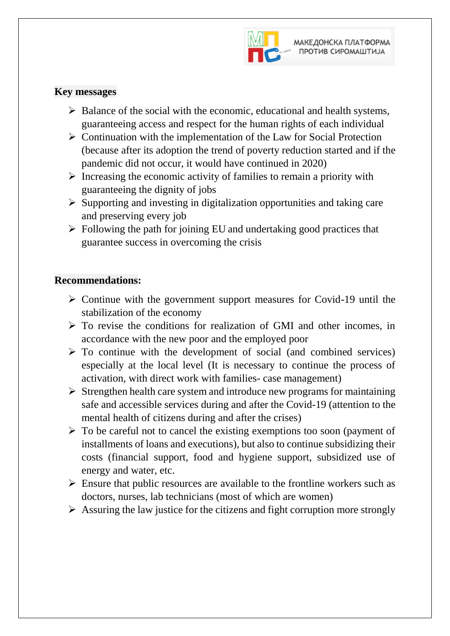

## **Key messages**

- $\triangleright$  Balance of the social with the economic, educational and health systems, guaranteeing access and respect for the human rights of each individual
- $\triangleright$  Continuation with the implementation of the Law for Social Protection (because after its adoption the trend of poverty reduction started and if the pandemic did not occur, it would have continued in 2020)
- $\triangleright$  Increasing the economic activity of families to remain a priority with guaranteeing the dignity of jobs
- $\triangleright$  Supporting and investing in digitalization opportunities and taking care and preserving every job
- $\triangleright$  Following the path for joining EU and undertaking good practices that guarantee success in overcoming the crisis

### **Recommendations:**

- $\triangleright$  Continue with the government support measures for Covid-19 until the stabilization of the economy
- $\triangleright$  To revise the conditions for realization of GMI and other incomes, in accordance with the new poor and the employed poor
- $\triangleright$  To continue with the development of social (and combined services) especially at the local level (It is necessary to continue the process of activation, with direct work with families- case management)
- $\triangleright$  Strengthen health care system and introduce new programs for maintaining safe and accessible services during and after the Covid-19 (attention to the mental health of citizens during and after the crises)
- $\triangleright$  To be careful not to cancel the existing exemptions too soon (payment of installments of loans and executions), but also to continue subsidizing their costs (financial support, food and hygiene support, subsidized use of energy and water, etc.
- $\triangleright$  Ensure that public resources are available to the frontline workers such as doctors, nurses, lab technicians (most of which are women)
- $\triangleright$  Assuring the law justice for the citizens and fight corruption more strongly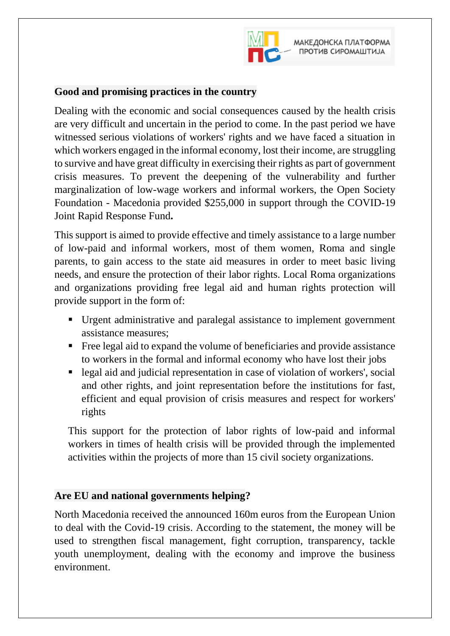

## **Good and promising practices in the country**

Dealing with the economic and social consequences caused by the health crisis are very difficult and uncertain in the period to come. In the past period we have witnessed serious violations of workers' rights and we have faced a situation in which workers engaged in the informal economy, lost their income, are struggling to survive and have great difficulty in exercising their rights as part of government crisis measures. To prevent the deepening of the vulnerability and further marginalization of low-wage workers and informal workers, the Open Society Foundation - Macedonia provided \$255,000 in support through the COVID-19 Joint Rapid Response Fund**.**

This support is aimed to provide effective and timely assistance to a large number of low-paid and informal workers, most of them women, Roma and single parents, to gain access to the state aid measures in order to meet basic living needs, and ensure the protection of their labor rights. Local Roma organizations and organizations providing free legal aid and human rights protection will provide support in the form of:

- Urgent administrative and paralegal assistance to implement government assistance measures;
- Free legal aid to expand the volume of beneficiaries and provide assistance to workers in the formal and informal economy who have lost their jobs
- legal aid and judicial representation in case of violation of workers', social and other rights, and joint representation before the institutions for fast, efficient and equal provision of crisis measures and respect for workers' rights

This support for the protection of labor rights of low-paid and informal workers in times of health crisis will be provided through the implemented activities within the projects of more than 15 civil society organizations.

## **Are EU and national governments helping?**

North Macedonia received the announced 160m euros from the European Union to deal with the Covid-19 crisis. According to the statement, the money will be used to strengthen fiscal management, fight corruption, transparency, tackle youth unemployment, dealing with the economy and improve the business environment.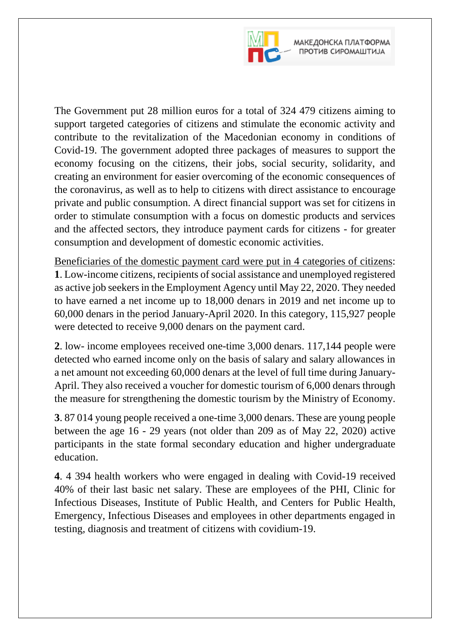

The Government put 28 million euros for a total of 324 479 citizens aiming to support targeted categories of citizens and stimulate the economic activity and contribute to the revitalization of the Macedonian economy in conditions of Covid-19. The government adopted three packages of measures to support the economy focusing on the citizens, their jobs, social security, solidarity, and creating an environment for easier overcoming of the economic consequences of the coronavirus, as well as to help to citizens with direct assistance to encourage private and public consumption. А direct financial support was set for citizens in order to stimulate consumption with a focus on domestic products and services and the affected sectors, they introduce payment cards for citizens - for greater consumption and development of domestic economic activities.

Beneficiaries of the domestic payment card were put in 4 categories of citizens: **1**. Low-income citizens, recipients of social assistance and unemployed registered as active job seekers in the Employment Agency until May 22, 2020. They needed to have earned a net income up to 18,000 denars in 2019 and net income up to 60,000 denars in the period January-April 2020. In this category, 115,927 people were detected to receive 9,000 denars on the payment card.

**2**. low- income employees received one-time 3,000 denars. 117,144 people were detected who earned income only on the basis of salary and salary allowances in a net amount not exceeding 60,000 denars at the level of full time during January-April. They also received a voucher for domestic tourism of 6,000 denars through the measure for strengthening the domestic tourism by the Ministry of Economy.

**3**. 87 014 young people received a one-time 3,000 denars. These are young people between the age 16 - 29 years (not older than 209 as of May 22, 2020) active participants in the state formal secondary education and higher undergraduate education.

**4**. 4 394 health workers who were engaged in dealing with Covid-19 received 40% of their last basic net salary. These are employees of the PHI, Clinic for Infectious Diseases, Institute of Public Health, and Centers for Public Health, Emergency, Infectious Diseases and employees in other departments engaged in testing, diagnosis and treatment of citizens with covidium-19.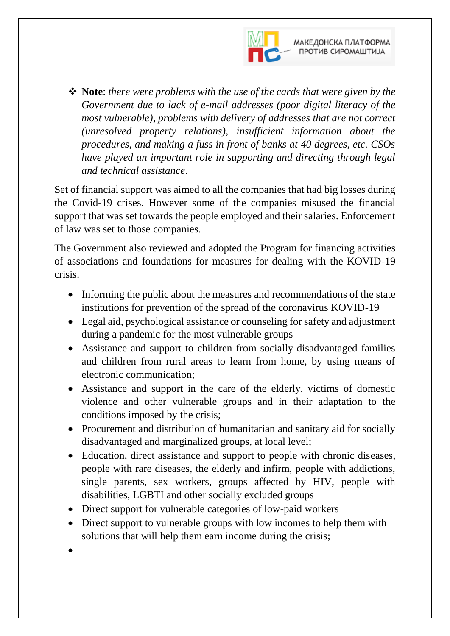

 **Note**: *there were problems with the use of the cards that were given by the Government due to lack of e-mail addresses (poor digital literacy of the most vulnerable), problems with delivery of addresses that are not correct (unresolved property relations), insufficient information about the procedures, and making a fuss in front of banks at 40 degrees, etc. CSOs have played an important role in supporting and directing through legal and technical assistance*.

Set of financial support was aimed to all the companies that had big losses during the Covid-19 crises. However some of the companies misused the financial support that was set towards the people employed and their salaries. Enforcement of law was set to those companies.

The Government also reviewed and adopted the Program for financing activities of associations and foundations for measures for dealing with the KOVID-19 crisis.

- Informing the public about the measures and recommendations of the state institutions for prevention of the spread of the coronavirus KOVID-19
- Legal aid, psychological assistance or counseling for safety and adjustment during a pandemic for the most vulnerable groups
- Assistance and support to children from socially disadvantaged families and children from rural areas to learn from home, by using means of electronic communication;
- Assistance and support in the care of the elderly, victims of domestic violence and other vulnerable groups and in their adaptation to the conditions imposed by the crisis;
- Procurement and distribution of humanitarian and sanitary aid for socially disadvantaged and marginalized groups, at local level;
- Education, direct assistance and support to people with chronic diseases, people with rare diseases, the elderly and infirm, people with addictions, single parents, sex workers, groups affected by HIV, people with disabilities, LGBTI and other socially excluded groups
- Direct support for vulnerable categories of low-paid workers
- Direct support to vulnerable groups with low incomes to help them with solutions that will help them earn income during the crisis;
- $\bullet$